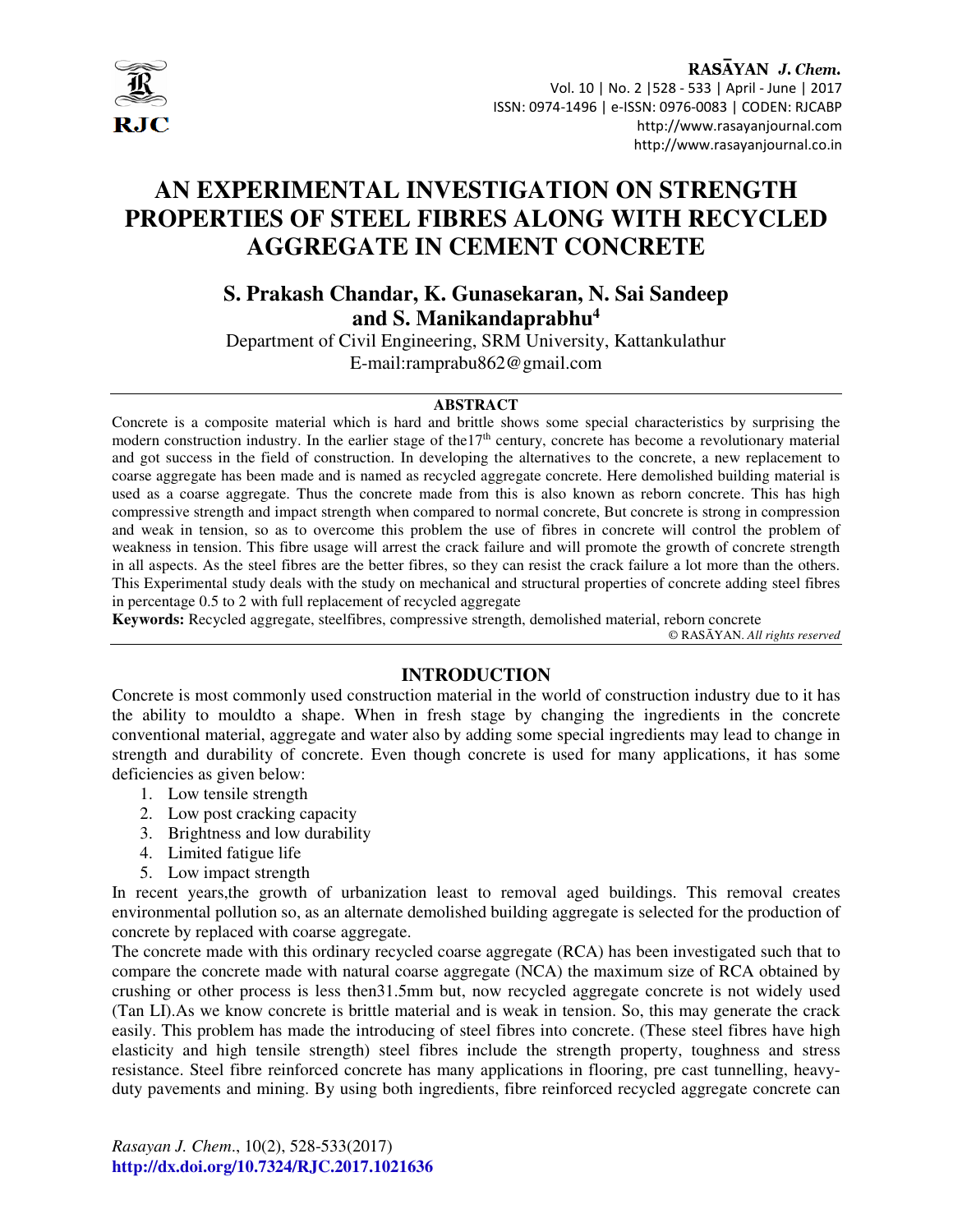

# **AN EXPERIMENTAL INVESTIGATION ON STRENGTH PROPERTIES OF STEEL FIBRES ALONG WITH RECYCLED AGGREGATE IN CEMENT CONCRETE**

# **S. Prakash Chandar, K. Gunasekaran, N. Sai Sandeep and S. Manikandaprabhu<sup>4</sup>**

Department of Civil Engineering, SRM University, Kattankulathur E-mail:ramprabu862@gmail.com

# **ABSTRACT**

Concrete is a composite material which is hard and brittle shows some special characteristics by surprising the modern construction industry. In the earlier stage of the  $17<sup>th</sup>$  century, concrete has become a revolutionary material and got success in the field of construction. In developing the alternatives to the concrete, a new replacement to coarse aggregate has been made and is named as recycled aggregate concrete. Here demolished building material is used as a coarse aggregate. Thus the concrete made from this is also known as reborn concrete. This has high compressive strength and impact strength when compared to normal concrete, But concrete is strong in compression and weak in tension, so as to overcome this problem the use of fibres in concrete will control the problem of weakness in tension. This fibre usage will arrest the crack failure and will promote the growth of concrete strength in all aspects. As the steel fibres are the better fibres, so they can resist the crack failure a lot more than the others. This Experimental study deals with the study on mechanical and structural properties of concrete adding steel fibres in percentage 0.5 to 2 with full replacement of recycled aggregate

**Keywords:** Recycled aggregate, steelfibres, compressive strength, demolished material, reborn concrete

© RASĀYAN. *All rights reserved*

# **INTRODUCTION**

Concrete is most commonly used construction material in the world of construction industry due to it has the ability to mouldto a shape. When in fresh stage by changing the ingredients in the concrete conventional material, aggregate and water also by adding some special ingredients may lead to change in strength and durability of concrete. Even though concrete is used for many applications, it has some deficiencies as given below:

- 1. Low tensile strength
- 2. Low post cracking capacity
- 3. Brightness and low durability
- 4. Limited fatigue life
- 5. Low impact strength

In recent years,the growth of urbanization least to removal aged buildings. This removal creates environmental pollution so, as an alternate demolished building aggregate is selected for the production of concrete by replaced with coarse aggregate.

The concrete made with this ordinary recycled coarse aggregate (RCA) has been investigated such that to compare the concrete made with natural coarse aggregate (NCA) the maximum size of RCA obtained by crushing or other process is less then31.5mm but, now recycled aggregate concrete is not widely used (Tan LI).As we know concrete is brittle material and is weak in tension. So, this may generate the crack easily. This problem has made the introducing of steel fibres into concrete. (These steel fibres have high elasticity and high tensile strength) steel fibres include the strength property, toughness and stress resistance. Steel fibre reinforced concrete has many applications in flooring, pre cast tunnelling, heavyduty pavements and mining. By using both ingredients, fibre reinforced recycled aggregate concrete can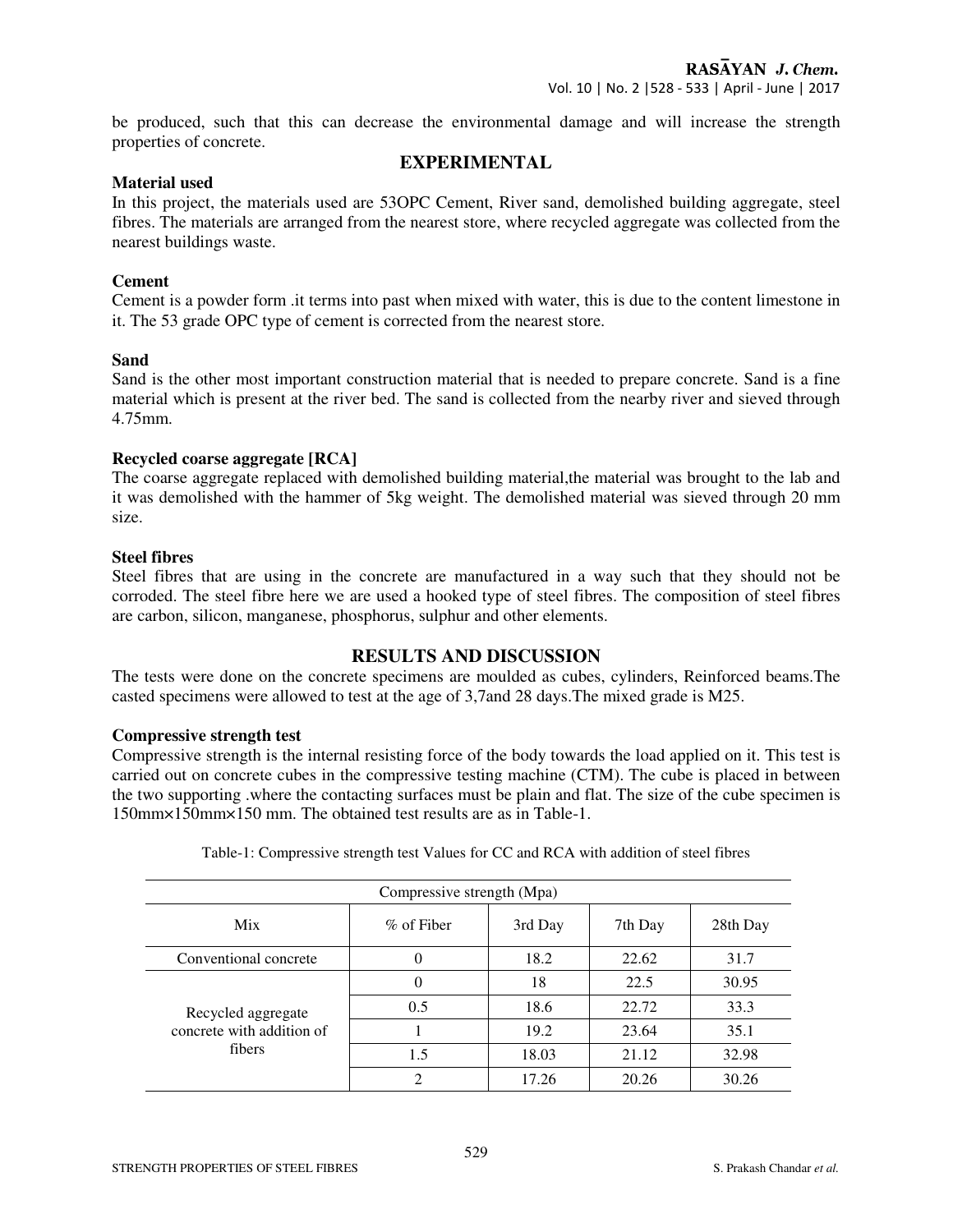be produced, such that this can decrease the environmental damage and will increase the strength properties of concrete.

# **EXPERIMENTAL**

#### **Material used**

In this project, the materials used are 53OPC Cement, River sand, demolished building aggregate, steel fibres. The materials are arranged from the nearest store, where recycled aggregate was collected from the nearest buildings waste.

# **Cement**

Cement is a powder form .it terms into past when mixed with water, this is due to the content limestone in it. The 53 grade OPC type of cement is corrected from the nearest store.

# **Sand**

Sand is the other most important construction material that is needed to prepare concrete. Sand is a fine material which is present at the river bed. The sand is collected from the nearby river and sieved through 4.75mm.

#### **Recycled coarse aggregate [RCA]**

The coarse aggregate replaced with demolished building material, the material was brought to the lab and it was demolished with the hammer of 5kg weight. The demolished material was sieved through 20 mm size.

#### **Steel fibres**

Steel fibres that are using in the concrete are manufactured in a way such that they should not be corroded. The steel fibre here we are used a hooked type of steel fibres. The composition of steel fibres are carbon, silicon, manganese, phosphorus, sulphur and other elements.

# **RESULTS AND DISCUSSION**

The tests were done on the concrete specimens are moulded as cubes, cylinders, Reinforced beams.The casted specimens were allowed to test at the age of 3,7and 28 days.The mixed grade is M25.

#### **Compressive strength test**

Compressive strength is the internal resisting force of the body towards the load applied on it. This test is carried out on concrete cubes in the compressive testing machine (CTM). The cube is placed in between the two supporting .where the contacting surfaces must be plain and flat. The size of the cube specimen is 150mm×150mm×150 mm. The obtained test results are as in Table-1.

| Compressive strength (Mpa)                                |               |         |         |          |  |  |
|-----------------------------------------------------------|---------------|---------|---------|----------|--|--|
| <b>Mix</b>                                                | $\%$ of Fiber | 3rd Day | 7th Day | 28th Day |  |  |
| Conventional concrete                                     | $\Omega$      | 18.2    | 22.62   | 31.7     |  |  |
| Recycled aggregate<br>concrete with addition of<br>fibers | $\theta$      | 18      | 22.5    | 30.95    |  |  |
|                                                           | 0.5           | 18.6    | 22.72   | 33.3     |  |  |
|                                                           |               | 19.2    | 23.64   | 35.1     |  |  |
|                                                           | 1.5           | 18.03   | 21.12   | 32.98    |  |  |
|                                                           | 2             | 17.26   | 20.26   | 30.26    |  |  |

Table-1: Compressive strength test Values for CC and RCA with addition of steel fibres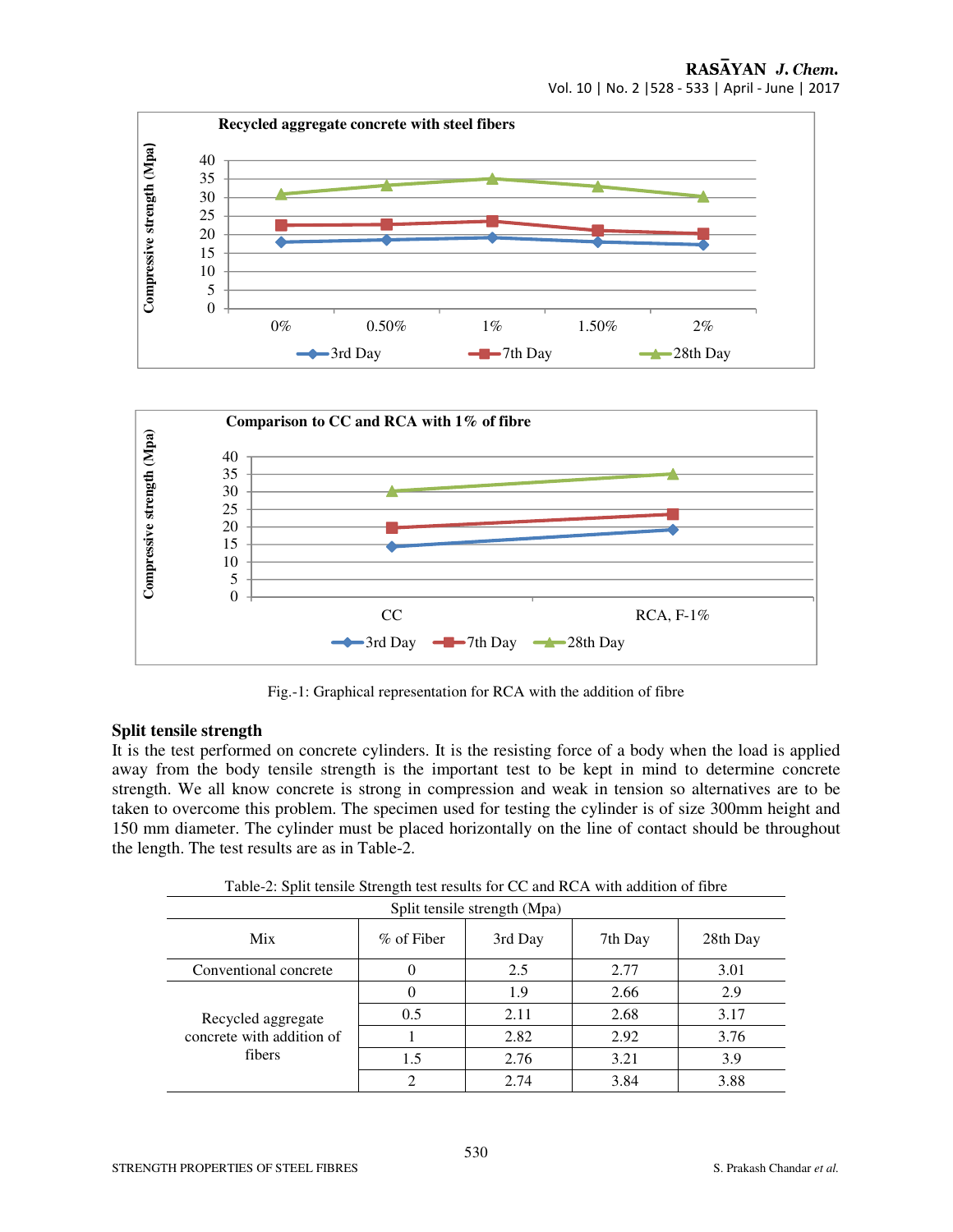



Fig.-1: Graphical representation for RCA with the addition of fibre

#### **Split tensile strength**

It is the test performed on concrete cylinders. It is the resisting force of a body when the load is applied away from the body tensile strength is the important test to be kept in mind to determine concrete strength. We all know concrete is strong in compression and weak in tension so alternatives are to be taken to overcome this problem. The specimen used for testing the cylinder is of size 300mm height and 150 mm diameter. The cylinder must be placed horizontally on the line of contact should be throughout the length. The test results are as in Table-2.

| Split tensile strength (Mpa)                              |            |         |         |          |  |  |  |
|-----------------------------------------------------------|------------|---------|---------|----------|--|--|--|
| <b>Mix</b>                                                | % of Fiber | 3rd Day | 7th Day | 28th Day |  |  |  |
| Conventional concrete                                     |            | 2.5     | 2.77    | 3.01     |  |  |  |
| Recycled aggregate<br>concrete with addition of<br>fibers |            | 1.9     | 2.66    | 2.9      |  |  |  |
|                                                           | 0.5        | 2.11    | 2.68    | 3.17     |  |  |  |
|                                                           |            | 2.82    | 2.92    | 3.76     |  |  |  |
|                                                           | 1.5        | 2.76    | 3.21    | 3.9      |  |  |  |
|                                                           |            | 2.74    | 3.84    | 3.88     |  |  |  |

Table-2: Split tensile Strength test results for CC and RCA with addition of fibre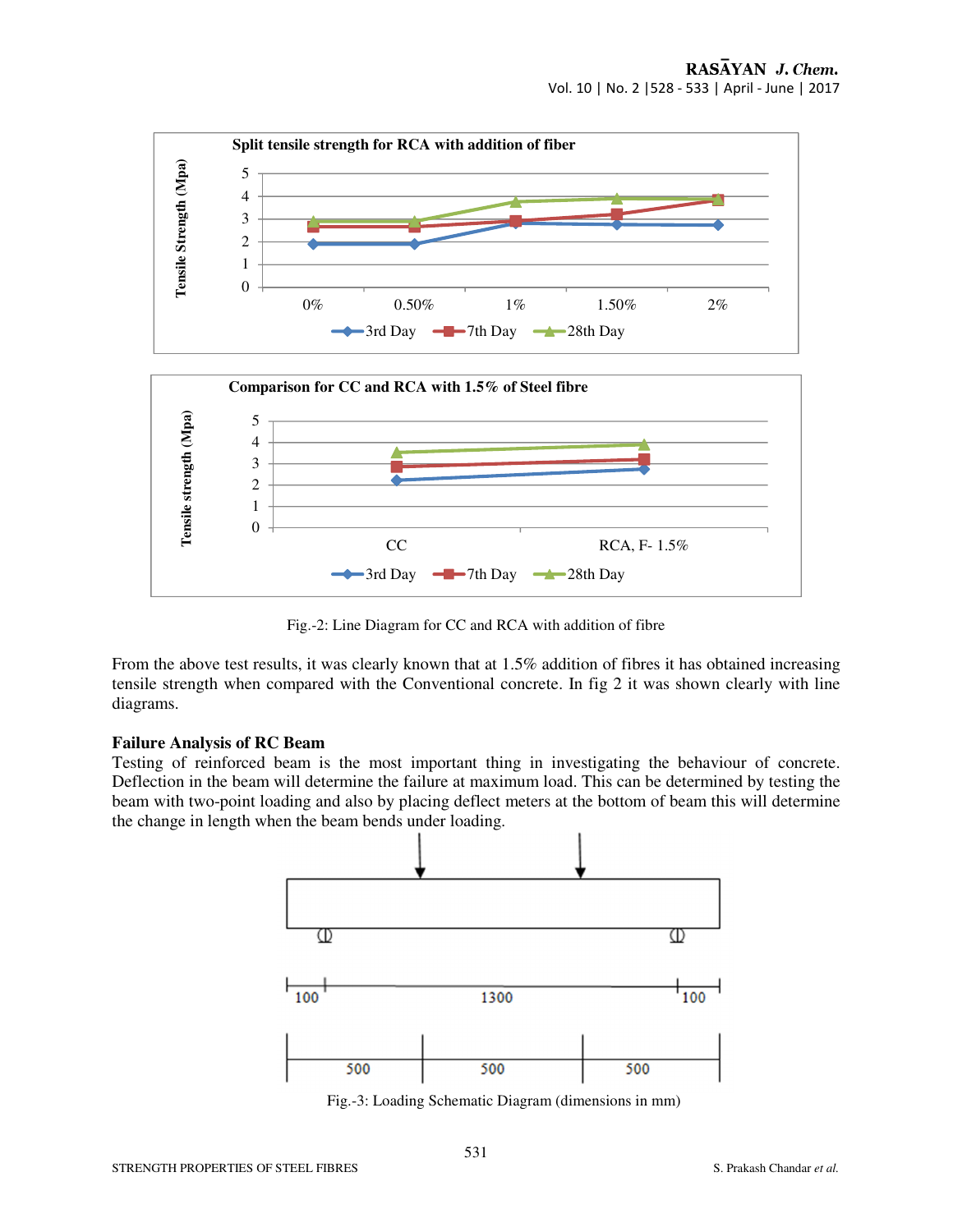

Fig.-2: Line Diagram for CC and RCA with addition of fibre

From the above test results, it was clearly known that at 1.5% addition of fibres it has obtained increasing tensile strength when compared with the Conventional concrete. In fig 2 it was shown clearly with line diagrams.

#### **Failure Analysis of RC Beam**

Testing of reinforced beam is the most important thing in investigating the behaviour of concrete. Deflection in the beam will determine the failure at maximum load. This can be determined by testing the beam with two-point loading and also by placing deflect meters at the bottom of beam this will determine the change in length when the beam bends under loading.



Fig.-3: Loading Schematic Diagram (dimensions in mm)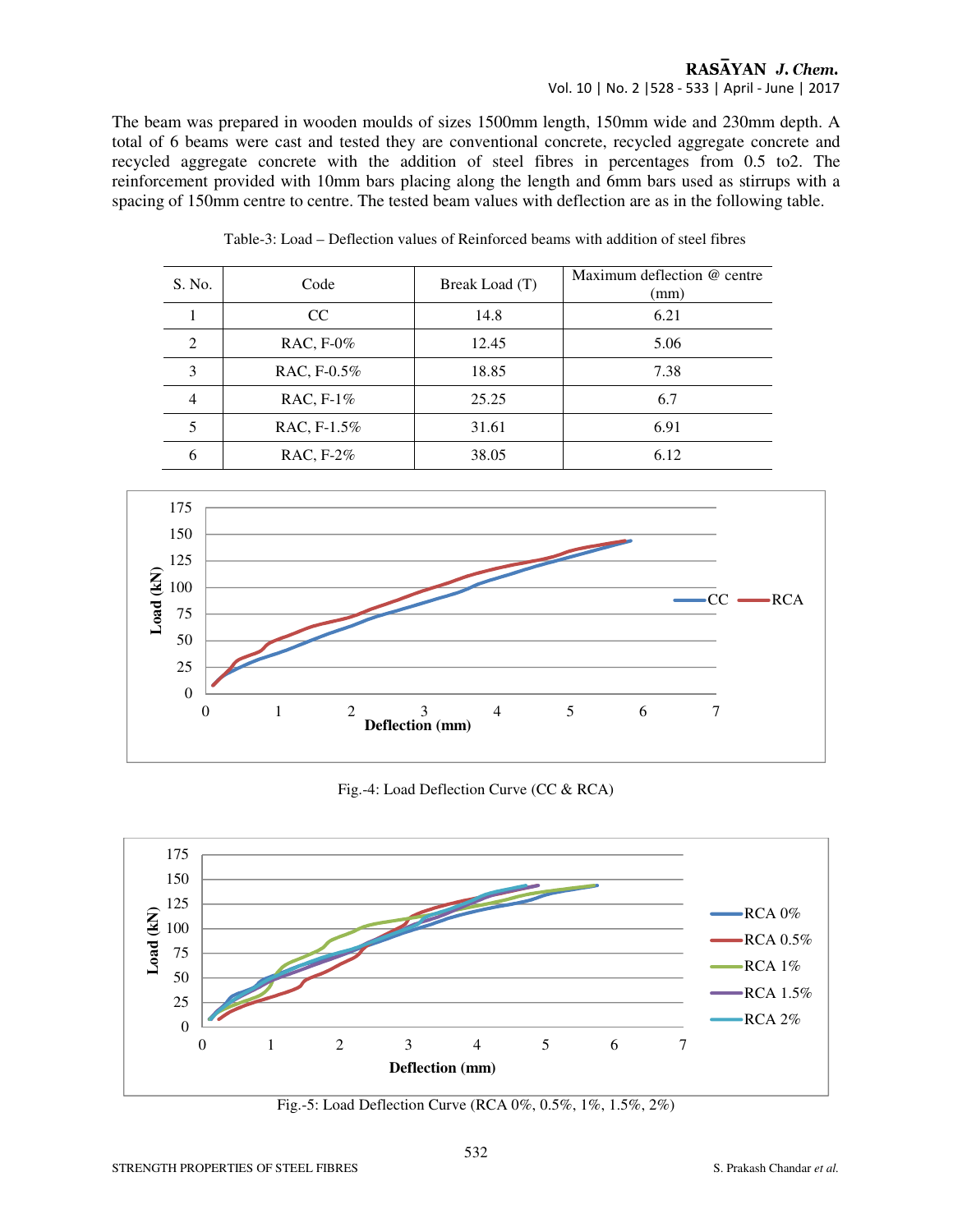#### RASAYAN J. Chem. Vol. 10 | No. 2 |528 - 533 | April - June | 2017

The beam was prepared in wooden moulds of sizes 1500mm length, 150mm wide and 230mm depth. A total of 6 beams were cast and tested they are conventional concrete, recycled aggregate concrete and recycled aggregate concrete with the addition of steel fibres in percentages from 0.5 to2. The reinforcement provided with 10mm bars placing along the length and 6mm bars used as stirrups with a spacing of 150mm centre to centre. The tested beam values with deflection are as in the following table.

| S. No.         | Code         | Break Load (T) | Maximum deflection @ centre<br>(mm) |
|----------------|--------------|----------------|-------------------------------------|
|                | CC           | 14.8           | 6.21                                |
| 2              | RAC, F-0%    | 12.45          | 5.06                                |
| 3              | RAC, F-0.5%  | 18.85          | 7.38                                |
| $\overline{4}$ | RAC, $F-1\%$ | 25.25          | 6.7                                 |
|                | RAC, F-1.5%  | 31.61          | 6.91                                |
| 6              | RAC, F-2%    | 38.05          | 6.12                                |



Fig.-4: Load Deflection Curve (CC & RCA)



Fig.-5: Load Deflection Curve (RCA 0%, 0.5%, 1%, 1.5%, 2%)